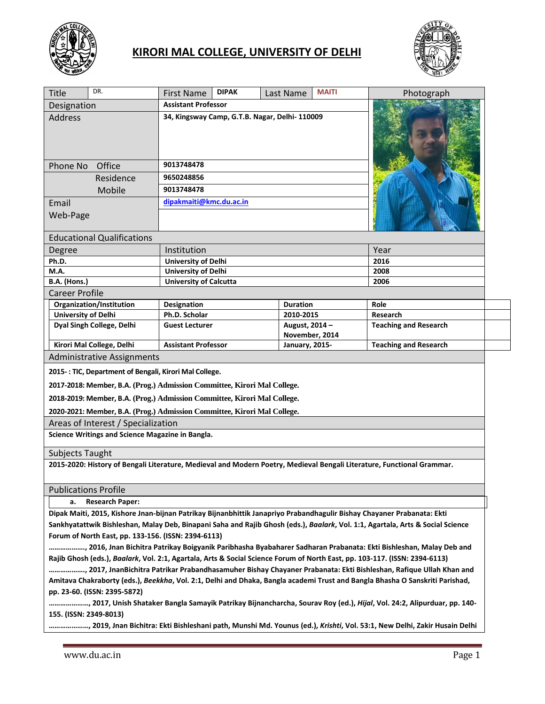

## **KIRORI MAL COLLEGE, UNIVERSITY OF DELHI**



| <b>Title</b>                                                                                                                                                                                                                                      | DR.                                                                      | <b>First Name</b>                              | <b>DIPAK</b> | Last Name                        | <b>MAITI</b> | Photograph                                                                                                             |
|---------------------------------------------------------------------------------------------------------------------------------------------------------------------------------------------------------------------------------------------------|--------------------------------------------------------------------------|------------------------------------------------|--------------|----------------------------------|--------------|------------------------------------------------------------------------------------------------------------------------|
| Designation                                                                                                                                                                                                                                       |                                                                          | <b>Assistant Professor</b>                     |              |                                  |              |                                                                                                                        |
| <b>Address</b>                                                                                                                                                                                                                                    |                                                                          | 34, Kingsway Camp, G.T.B. Nagar, Delhi- 110009 |              |                                  |              |                                                                                                                        |
| Office<br>Phone No                                                                                                                                                                                                                                |                                                                          | 9013748478                                     |              |                                  |              |                                                                                                                        |
| Residence                                                                                                                                                                                                                                         |                                                                          | 9650248856                                     |              |                                  |              |                                                                                                                        |
| Mobile                                                                                                                                                                                                                                            |                                                                          | 9013748478                                     |              |                                  |              |                                                                                                                        |
| Email                                                                                                                                                                                                                                             |                                                                          | dipakmaiti@kmc.du.ac.in                        |              |                                  |              |                                                                                                                        |
| Web-Page                                                                                                                                                                                                                                          |                                                                          |                                                |              |                                  |              |                                                                                                                        |
|                                                                                                                                                                                                                                                   | <b>Educational Qualifications</b>                                        |                                                |              |                                  |              |                                                                                                                        |
| Degree                                                                                                                                                                                                                                            |                                                                          | Institution                                    |              |                                  |              | Year                                                                                                                   |
| Ph.D.                                                                                                                                                                                                                                             |                                                                          | <b>University of Delhi</b>                     |              |                                  | 2016         |                                                                                                                        |
| M.A.                                                                                                                                                                                                                                              |                                                                          | <b>University of Delhi</b>                     |              |                                  | 2008         |                                                                                                                        |
| B.A. (Hons.)                                                                                                                                                                                                                                      |                                                                          | <b>University of Calcutta</b>                  |              |                                  | 2006         |                                                                                                                        |
| <b>Career Profile</b>                                                                                                                                                                                                                             |                                                                          |                                                |              |                                  |              |                                                                                                                        |
| <b>University of Delhi</b>                                                                                                                                                                                                                        | Organization/Institution                                                 | Designation<br>Ph.D. Scholar                   |              | <b>Duration</b><br>2010-2015     |              | Role<br>Research                                                                                                       |
|                                                                                                                                                                                                                                                   | Dyal Singh College, Delhi                                                | <b>Guest Lecturer</b>                          |              | August, 2014 -<br>November, 2014 |              | <b>Teaching and Research</b>                                                                                           |
| Kirori Mal College, Delhi                                                                                                                                                                                                                         |                                                                          | <b>Assistant Professor</b>                     |              | <b>January, 2015-</b>            |              | <b>Teaching and Research</b>                                                                                           |
|                                                                                                                                                                                                                                                   | <b>Administrative Assignments</b>                                        |                                                |              |                                  |              |                                                                                                                        |
|                                                                                                                                                                                                                                                   | 2015-: TIC, Department of Bengali, Kirori Mal College.                   |                                                |              |                                  |              |                                                                                                                        |
|                                                                                                                                                                                                                                                   | 2017-2018: Member, B.A. (Prog.) Admission Committee, Kirori Mal College. |                                                |              |                                  |              |                                                                                                                        |
| 2018-2019: Member, B.A. (Prog.) Admission Committee, Kirori Mal College.                                                                                                                                                                          |                                                                          |                                                |              |                                  |              |                                                                                                                        |
|                                                                                                                                                                                                                                                   | 2020-2021: Member, B.A. (Prog.) Admission Committee, Kirori Mal College. |                                                |              |                                  |              |                                                                                                                        |
|                                                                                                                                                                                                                                                   | Areas of Interest / Specialization                                       |                                                |              |                                  |              |                                                                                                                        |
|                                                                                                                                                                                                                                                   | Science Writings and Science Magazine in Bangla.                         |                                                |              |                                  |              |                                                                                                                        |
| <b>Subjects Taught</b>                                                                                                                                                                                                                            |                                                                          |                                                |              |                                  |              |                                                                                                                        |
|                                                                                                                                                                                                                                                   |                                                                          |                                                |              |                                  |              | 2015-2020: History of Bengali Literature, Medieval and Modern Poetry, Medieval Bengali Literature, Functional Grammar. |
|                                                                                                                                                                                                                                                   | <b>Publications Profile</b>                                              |                                                |              |                                  |              |                                                                                                                        |
| <b>Research Paper:</b><br>а.                                                                                                                                                                                                                      |                                                                          |                                                |              |                                  |              |                                                                                                                        |
|                                                                                                                                                                                                                                                   |                                                                          |                                                |              |                                  |              | Dipak Maiti, 2015, Kishore Jnan-bijnan Patrikay Bijnanbhittik Janapriyo Prabandhagulir Bishay Chayaner Prabanata: Ekti |
| Sankhyatattwik Bishleshan, Malay Deb, Binapani Saha and Rajib Ghosh (eds.), Baalark, Vol. 1:1, Agartala, Arts & Social Science                                                                                                                    |                                                                          |                                                |              |                                  |              |                                                                                                                        |
| Forum of North East, pp. 133-156. (ISSN: 2394-6113)                                                                                                                                                                                               |                                                                          |                                                |              |                                  |              |                                                                                                                        |
| , 2016, Jnan Bichitra Patrikay Boigyanik Paribhasha Byabaharer Sadharan Prabanata: Ekti Bishleshan, Malay Deb and                                                                                                                                 |                                                                          |                                                |              |                                  |              |                                                                                                                        |
| Rajib Ghosh (eds.), Baalark, Vol. 2:1, Agartala, Arts & Social Science Forum of North East, pp. 103-117. (ISSN: 2394-6113)                                                                                                                        |                                                                          |                                                |              |                                  |              |                                                                                                                        |
| , 2017, JnanBichitra Patrikar Prabandhasamuher Bishay Chayaner Prabanata: Ekti Bishleshan, Rafique Ullah Khan and<br>Amitava Chakraborty (eds.), Beekkha, Vol. 2:1, Delhi and Dhaka, Bangla academi Trust and Bangla Bhasha O Sanskriti Parishad, |                                                                          |                                                |              |                                  |              |                                                                                                                        |
|                                                                                                                                                                                                                                                   | pp. 23-60. (ISSN: 2395-5872)                                             |                                                |              |                                  |              |                                                                                                                        |
|                                                                                                                                                                                                                                                   |                                                                          |                                                |              |                                  |              |                                                                                                                        |
|                                                                                                                                                                                                                                                   |                                                                          |                                                |              |                                  |              |                                                                                                                        |

**…………………, 2019, Jnan Bichitra: Ekti Bishleshani path, Munshi Md. Younus (ed.),** *Krishti***, Vol. 53:1, New Delhi, Zakir Husain Delhi** 

**155. (ISSN: 2349-8013)**